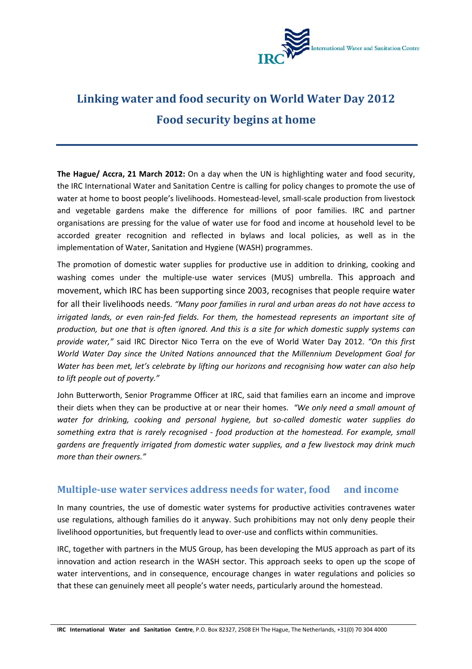

# **Linking water and food security on World Water Day 2012 Food security begins at home**

**The Hague/ Accra, 21 March 2012:** On a day when the UN is highlighting water and food security, the IRC International Water and Sanitation Centre is calling for policy changes to promote the use of water at home to boost people's livelihoods. Homestead‐level, small‐scale production from livestock and vegetable gardens make the difference for millions of poor families. IRC and partner organisations are pressing for the value of water use for food and income at household level to be accorded greater recognition and reflected in bylaws and local policies, as well as in the implementation of Water, Sanitation and Hygiene (WASH) programmes.

The promotion of domestic water supplies for productive use in addition to drinking, cooking and washing comes under the multiple-use water services (MUS) umbrella. This approach and movement, which IRC has been supporting since 2003, recognises that people require water for all their livelihoods needs. *"Many poor families in rural and urban areas do not have access to irrigated lands, or even rain‐fed fields. For them, the homestead represents an important site of* production, but one that is often ignored. And this is a site for which domestic supply systems can *provide water,"* said IRC Director Nico Terra on the eve of World Water Day 2012. *"On this first World Water Day since the United Nations announced that the Millennium Development Goal for Water has been met, let's celebrate by lifting our horizons and recognising how water can also help to lift people out of poverty."*

John Butterworth, Senior Programme Officer at IRC, said that families earn an income and improve their diets when they can be productive at or near their homes. *"We only need a small amount of water for drinking, cooking and personal hygiene, but so‐called domestic water supplies do something extra that is rarely recognised ‐ food production at the homestead. For example, small gardens are frequently irrigated from domestic water supplies, and a few livestock may drink much more than their owners."*

### **Multiple‐use water services address needs for water, food and income**

In many countries, the use of domestic water systems for productive activities contravenes water use regulations, although families do it anyway. Such prohibitions may not only deny people their livelihood opportunities, but frequently lead to over‐use and conflicts within communities.

IRC, together with partners in the MUS Group, has been developing the MUS approach as part of its innovation and action research in the WASH sector. This approach seeks to open up the scope of water interventions, and in consequence, encourage changes in water regulations and policies so that these can genuinely meet all people's water needs, particularly around the homestead.